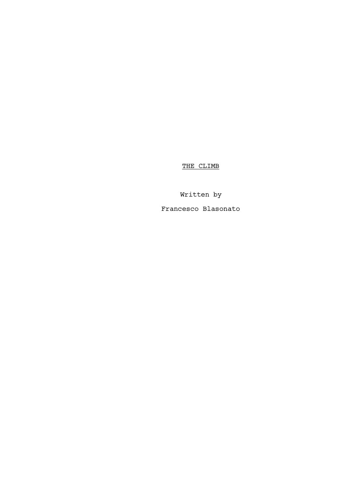THE CLIMB

Written by Francesco Blasonato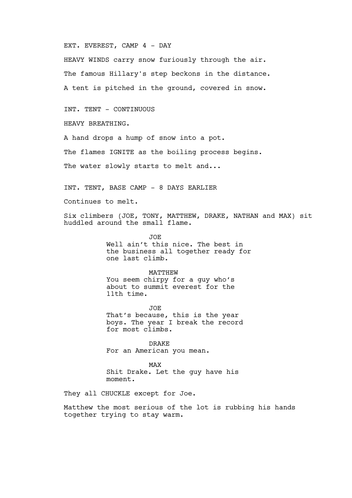EXT. EVEREST, CAMP 4 - DAY

HEAVY WINDS carry snow furiously through the air. The famous Hillary's step beckons in the distance. A tent is pitched in the ground, covered in snow.

INT. TENT - CONTINUOUS

HEAVY BREATHING.

A hand drops a hump of snow into a pot.

The flames IGNITE as the boiling process begins.

The water slowly starts to melt and...

INT. TENT, BASE CAMP - 8 DAYS EARLIER

Continues to melt.

Six climbers (JOE, TONY, MATTHEW, DRAKE, NATHAN and MAX) sit huddled around the small flame.

> JOE Well ain't this nice. The best in the business all together ready for one last climb.

MATTHEW You seem chirpy for a guy who's about to summit everest for the 11th time.

JOE That's because, this is the year boys. The year I break the record for most climbs.

DRAKE For an American you mean.

MAX Shit Drake. Let the guy have his moment.

They all CHUCKLE except for Joe.

Matthew the most serious of the lot is rubbing his hands together trying to stay warm.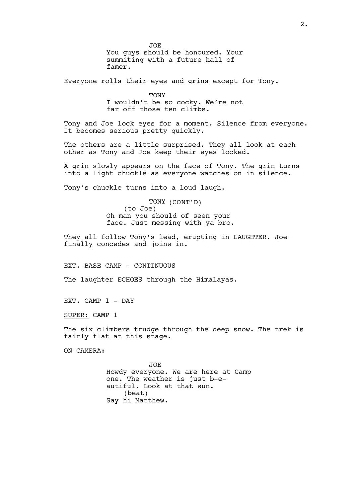JOE You guys should be honoured. Your summiting with a future hall of famer.

Everyone rolls their eyes and grins except for Tony.

**TONY** I wouldn't be so cocky. We're not far off those ten climbs.

Tony and Joe lock eyes for a moment. Silence from everyone. It becomes serious pretty quickly.

The others are a little surprised. They all look at each other as Tony and Joe keep their eyes locked.

A grin slowly appears on the face of Tony. The grin turns into a light chuckle as everyone watches on in silence.

Tony's chuckle turns into a loud laugh.

TONY (CONT'D) (to Joe) Oh man you should of seen your face. Just messing with ya bro.

They all follow Tony's lead, erupting in LAUGHTER. Joe finally concedes and joins in.

EXT. BASE CAMP - CONTINUOUS

The laughter ECHOES through the Himalayas.

EXT. CAMP 1 - DAY

SUPER: CAMP 1

The six climbers trudge through the deep snow. The trek is fairly flat at this stage.

ON CAMERA:

JOE Howdy everyone. We are here at Camp one. The weather is just b-eautiful. Look at that sun. (beat) Say hi Matthew.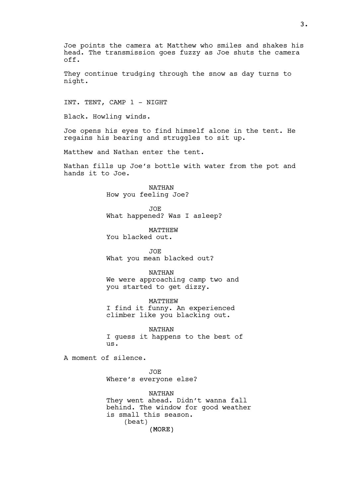Joe points the camera at Matthew who smiles and shakes his head. The transmission goes fuzzy as Joe shuts the camera off.

They continue trudging through the snow as day turns to night.

INT. TENT, CAMP 1 - NIGHT

Black. Howling winds.

Joe opens his eyes to find himself alone in the tent. He regains his bearing and struggles to sit up.

Matthew and Nathan enter the tent.

Nathan fills up Joe's bottle with water from the pot and hands it to Joe.

> NATHAN How you feeling Joe?

JOE What happened? Was I asleep?

MATTHEW You blacked out.

JOE What you mean blacked out?

NATHAN We were approaching camp two and you started to get dizzy.

MATTHEW I find it funny. An experienced climber like you blacking out.

NATHAN I guess it happens to the best of us.

A moment of silence.

JOE Where's everyone else?

(MORE) NATHAN They went ahead. Didn't wanna fall behind. The window for good weather is small this season. (beat)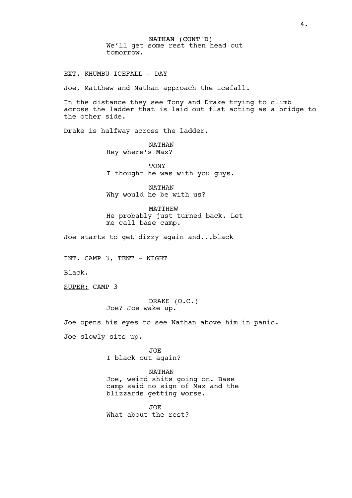NATHAN (CONT'D) We'll get some rest then head out tomorrow.

EXT. KHUMBU ICEFALL - DAY

Joe, Matthew and Nathan approach the icefall.

In the distance they see Tony and Drake trying to climb across the ladder that is laid out flat acting as a bridge to the other side.

Drake is halfway across the ladder.

NATHAN Hey where's Max?

TONY I thought he was with you guys.

NATHAN Why would he be with us?

MATTHEW He probably just turned back. Let me call base camp.

Joe starts to get dizzy again and...black

INT. CAMP 3, TENT - NIGHT

Black.

SUPER: CAMP 3

DRAKE (O.C.) Joe? Joe wake up.

Joe opens his eyes to see Nathan above him in panic. Joe slowly sits up.

> JOE I black out again?

NATHAN Joe, weird shits going on. Base camp said no sign of Max and the blizzards getting worse.

JOE What about the rest?